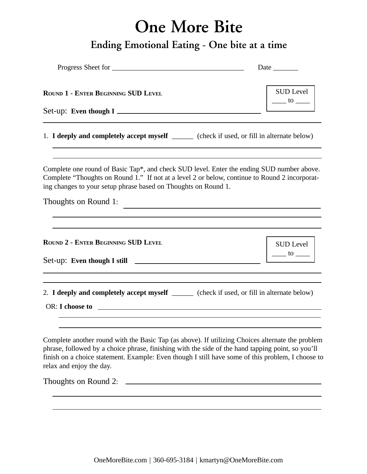## **One More Bite**

## **Ending Emotional Eating - One bite at a time**

| Progress Sheet for                                                                                                                                                                                                                                                                                                                     | Date $\_{$                                                               |
|----------------------------------------------------------------------------------------------------------------------------------------------------------------------------------------------------------------------------------------------------------------------------------------------------------------------------------------|--------------------------------------------------------------------------|
| <b>ROUND 1 - ENTER BEGINNING SUD LEVEL</b>                                                                                                                                                                                                                                                                                             | SUD Level<br>$\frac{1}{\sqrt{1-\frac{1}{2}}}$                            |
| 1. I deeply and completely accept myself _______ (check if used, or fill in alternate below)                                                                                                                                                                                                                                           |                                                                          |
| Complete one round of Basic Tap*, and check SUD level. Enter the ending SUD number above.<br>Complete "Thoughts on Round 1." If not at a level 2 or below, continue to Round 2 incorporat-<br>ing changes to your setup phrase based on Thoughts on Round 1.<br>Thoughts on Round 1:                                                   |                                                                          |
| <u> 1989 - Johann Stein, mars an deutscher Stein und der Stein und der Stein und der Stein und der Stein und der</u>                                                                                                                                                                                                                   |                                                                          |
| <b>ROUND 2 - ENTER BEGINNING SUD LEVEL</b>                                                                                                                                                                                                                                                                                             | $\begin{array}{c c}\n\text{SUD Level} \\ \hline\n\text{to } \end{array}$ |
| 2. I deeply and completely accept myself ______ (check if used, or fill in alternate below)                                                                                                                                                                                                                                            |                                                                          |
| Complete another round with the Basic Tap (as above). If utilizing Choices alternate the problem<br>phrase, followed by a choice phrase, finishing with the side of the hand tapping point, so you'll<br>finish on a choice statement. Example: Even though I still have some of this problem, I choose to<br>relax and enjoy the day. |                                                                          |
| Thoughts on Round 2:                                                                                                                                                                                                                                                                                                                   |                                                                          |